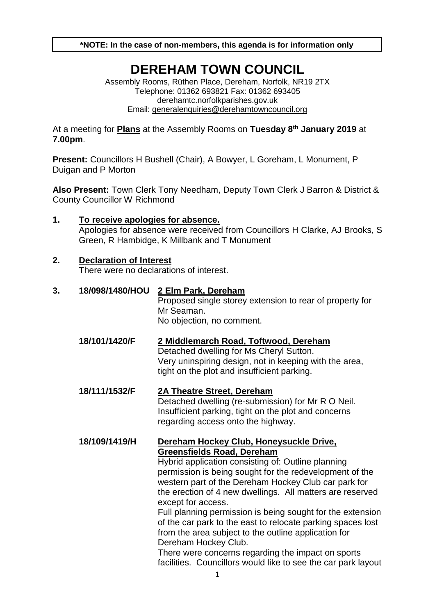**\*NOTE: In the case of non-members, this agenda is for information only**

# **DEREHAM TOWN COUNCIL**

Assembly Rooms, Rüthen Place, Dereham, Norfolk, NR19 2TX Telephone: 01362 693821 Fax: 01362 693405 derehamtc.norfolkparishes.gov.uk Email: [generalenquiries@derehamtowncouncil.org](mailto:generalenquiries@derehamtowncouncil.org)

At a meeting for **Plans** at the Assembly Rooms on **Tuesday 8 th January 2019** at **7.00pm**.

**Present:** Councillors H Bushell (Chair), A Bowyer, L Goreham, L Monument, P Duigan and P Morton

**Also Present:** Town Clerk Tony Needham, Deputy Town Clerk J Barron & District & County Councillor W Richmond

## **1. To receive apologies for absence.**  Apologies for absence were received from Councillors H Clarke, AJ Brooks, S Green, R Hambidge, K Millbank and T Monument

#### **2. Declaration of Interest**

There were no declarations of interest.

#### **3. 18/098/1480/HOU 2 Elm Park, Dereham**

Proposed single storey extension to rear of property for Mr Seaman. No objection, no comment.

- **18/101/1420/F 2 Middlemarch Road, Toftwood, Dereham** Detached dwelling for Ms Cheryl Sutton. Very uninspiring design, not in keeping with the area, tight on the plot and insufficient parking.
- **18/111/1532/F 2A Theatre Street, Dereham** Detached dwelling (re-submission) for Mr R O Neil. Insufficient parking, tight on the plot and concerns regarding access onto the highway.

#### **18/109/1419/H Dereham Hockey Club, Honeysuckle Drive, Greensfields Road, Dereham**

Hybrid application consisting of: Outline planning permission is being sought for the redevelopment of the western part of the Dereham Hockey Club car park for the erection of 4 new dwellings. All matters are reserved except for access.

Full planning permission is being sought for the extension of the car park to the east to relocate parking spaces lost from the area subject to the outline application for Dereham Hockey Club.

There were concerns regarding the impact on sports facilities. Councillors would like to see the car park layout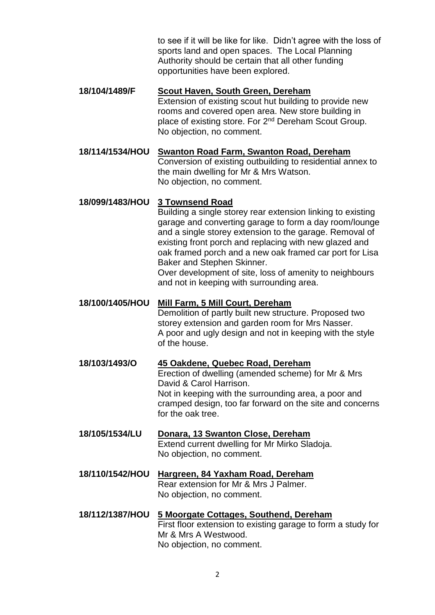to see if it will be like for like. Didn't agree with the loss of sports land and open spaces. The Local Planning Authority should be certain that all other funding opportunities have been explored.

- **18/104/1489/F Scout Haven, South Green, Dereham** Extension of existing scout hut building to provide new rooms and covered open area. New store building in place of existing store. For 2<sup>nd</sup> Dereham Scout Group. No objection, no comment.
- **18/114/1534/HOU Swanton Road Farm, Swanton Road, Dereham** Conversion of existing outbuilding to residential annex to the main dwelling for Mr & Mrs Watson. No objection, no comment.

## **18/099/1483/HOU 3 Townsend Road**

Building a single storey rear extension linking to existing garage and converting garage to form a day room/lounge and a single storey extension to the garage. Removal of existing front porch and replacing with new glazed and oak framed porch and a new oak framed car port for Lisa Baker and Stephen Skinner.

Over development of site, loss of amenity to neighbours and not in keeping with surrounding area.

#### **18/100/1405/HOU Mill Farm, 5 Mill Court, Dereham**

Demolition of partly built new structure. Proposed two storey extension and garden room for Mrs Nasser. A poor and ugly design and not in keeping with the style of the house.

- **18/103/1493/O 45 Oakdene, Quebec Road, Dereham** Erection of dwelling (amended scheme) for Mr & Mrs David & Carol Harrison. Not in keeping with the surrounding area, a poor and cramped design, too far forward on the site and concerns for the oak tree.
- **18/105/1534/LU Donara, 13 Swanton Close, Dereham** Extend current dwelling for Mr Mirko Sladoja. No objection, no comment.
- **18/110/1542/HOU Hargreen, 84 Yaxham Road, Dereham** Rear extension for Mr & Mrs J Palmer. No objection, no comment.
- **18/112/1387/HOU 5 Moorgate Cottages, Southend, Dereham** First floor extension to existing garage to form a study for Mr & Mrs A Westwood. No objection, no comment.